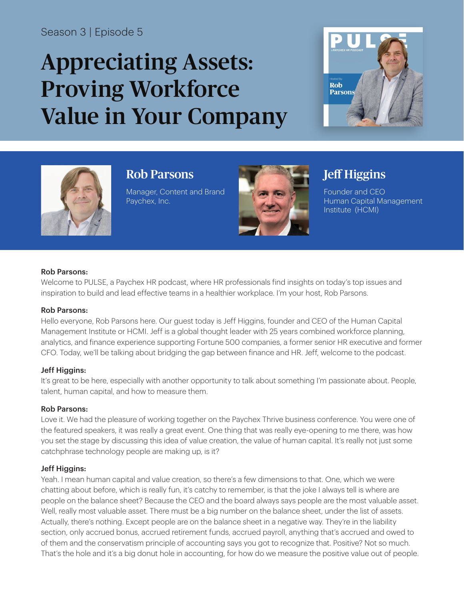### Season 3 | Episode 5

# Appreciating Assets: Proving Workforce Value in Your Company





## Rob Parsons

Manager, Content and Brand Paychex, Inc.



# Jeff Higgins

Founder and CEO Human Capital Management Institute (HCMI)

#### Rob Parsons:

Welcome to PULSE, a Paychex HR podcast, where HR professionals find insights on today's top issues and inspiration to build and lead effective teams in a healthier workplace. I'm your host, Rob Parsons.

#### Rob Parsons:

Hello everyone, Rob Parsons here. Our guest today is Jeff Higgins, founder and CEO of the Human Capital Management Institute or HCMI. Jeff is a global thought leader with 25 years combined workforce planning, analytics, and finance experience supporting Fortune 500 companies, a former senior HR executive and former CFO. Today, we'll be talking about bridging the gap between finance and HR. Jeff, welcome to the podcast.

#### Jeff Higgins:

It's great to be here, especially with another opportunity to talk about something I'm passionate about. People, talent, human capital, and how to measure them.

#### Rob Parsons:

Love it. We had the pleasure of working together on the Paychex Thrive business conference. You were one of the featured speakers, it was really a great event. One thing that was really eye-opening to me there, was how you set the stage by discussing this idea of value creation, the value of human capital. It's really not just some catchphrase technology people are making up, is it?

#### Jeff Higgins:

Yeah. I mean human capital and value creation, so there's a few dimensions to that. One, which we were chatting about before, which is really fun, it's catchy to remember, is that the joke I always tell is where are people on the balance sheet? Because the CEO and the board always says people are the most valuable asset. Well, really most valuable asset. There must be a big number on the balance sheet, under the list of assets. Actually, there's nothing. Except people are on the balance sheet in a negative way. They're in the liability section, only accrued bonus, accrued retirement funds, accrued payroll, anything that's accrued and owed to of them and the conservatism principle of accounting says you got to recognize that. Positive? Not so much. That's the hole and it's a big donut hole in accounting, for how do we measure the positive value out of people.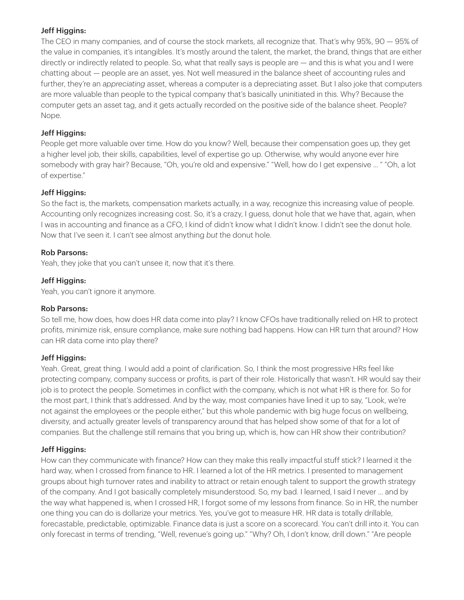#### Jeff Higgins:

The CEO in many companies, and of course the stock markets, all recognize that. That's why 95%, 90 — 95% of the value in companies, it's intangibles. It's mostly around the talent, the market, the brand, things that are either directly or indirectly related to people. So, what that really says is people are — and this is what you and I were chatting about — people are an asset, yes. Not well measured in the balance sheet of accounting rules and further, they're an *appreciating* asset, whereas a computer is a depreciating asset. But I also joke that computers are more valuable than people to the typical company that's basically uninitiated in this. Why? Because the computer gets an asset tag, and it gets actually recorded on the positive side of the balance sheet. People? Nope.

#### Jeff Higgins:

People get more valuable over time. How do you know? Well, because their compensation goes up, they get a higher level job, their skills, capabilities, level of expertise go up. Otherwise, why would anyone ever hire somebody with gray hair? Because, "Oh, you're old and expensive." "Well, how do I get expensive ... " "Oh, a lot of expertise."

#### Jeff Higgins:

So the fact is, the markets, compensation markets actually, in a way, recognize this increasing value of people. Accounting only recognizes increasing cost. So, it's a crazy, I guess, donut hole that we have that, again, when I was in accounting and finance as a CFO, I kind of didn't know what I didn't know. I didn't see the donut hole. Now that I've seen it. I can't see almost anything *but* the donut hole.

#### Rob Parsons:

Yeah, they joke that you can't unsee it, now that it's there.

#### Jeff Higgins:

Yeah, you can't ignore it anymore.

#### Rob Parsons:

So tell me, how does, how does HR data come into play? I know CFOs have traditionally relied on HR to protect profits, minimize risk, ensure compliance, make sure nothing bad happens. How can HR turn that around? How can HR data come into play there?

#### Jeff Higgins:

Yeah. Great, great thing. I would add a point of clarification. So, I think the most progressive HRs feel like protecting company, company success or profits, is part of their role. Historically that wasn't. HR would say their job is to protect the people. Sometimes in conflict with the company, which is not what HR is there for. So for the most part, I think that's addressed. And by the way, most companies have lined it up to say, "Look, we're not against the employees or the people either," but this whole pandemic with big huge focus on wellbeing, diversity, and actually greater levels of transparency around that has helped show some of that for a lot of companies. But the challenge still remains that you bring up, which is, how can HR show their contribution?

#### Jeff Higgins:

How can they communicate with finance? How can they make this really impactful stuff stick? I learned it the hard way, when I crossed from finance to HR. I learned a lot of the HR metrics. I presented to management groups about high turnover rates and inability to attract or retain enough talent to support the growth strategy of the company. And I got basically completely misunderstood. So, my bad. I learned, I said I never ... and by the way what happened is, when I crossed HR, I forgot some of my lessons from finance. So in HR, the number one thing you can do is dollarize your metrics. Yes, you've got to measure HR. HR data is totally drillable, forecastable, predictable, optimizable. Finance data is just a score on a scorecard. You can't drill into it. You can only forecast in terms of trending, "Well, revenue's going up." "Why? Oh, I don't know, drill down." "Are people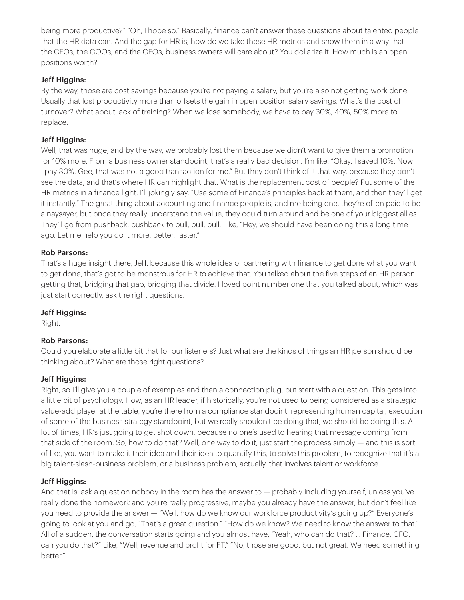being more productive?" "Oh, I hope so." Basically, finance can't answer these questions about talented people that the HR data can. And the gap for HR is, how do we take these HR metrics and show them in a way that the CFOs, the COOs, and the CEOs, business owners will care about? You dollarize it. How much is an open positions worth?

#### Jeff Higgins:

By the way, those are cost savings because you're not paying a salary, but you're also not getting work done. Usually that lost productivity more than offsets the gain in open position salary savings. What's the cost of turnover? What about lack of training? When we lose somebody, we have to pay 30%, 40%, 50% more to replace.

#### Jeff Higgins:

Well, that was huge, and by the way, we probably lost them because we didn't want to give them a promotion for 10% more. From a business owner standpoint, that's a really bad decision. I'm like, "Okay, I saved 10%. Now I pay 30%. Gee, that was not a good transaction for me." But they don't think of it that way, because they don't see the data, and that's where HR can highlight that. What is the replacement cost of people? Put some of the HR metrics in a finance light. I'll jokingly say, "Use some of Finance's principles back at them, and then they'll get it instantly." The great thing about accounting and finance people is, and me being one, they're often paid to be a naysayer, but once they really understand the value, they could turn around and be one of your biggest allies. They'll go from pushback, pushback to pull, pull, pull. Like, "Hey, we should have been doing this a long time ago. Let me help you do it more, better, faster."

#### Rob Parsons:

That's a huge insight there, Jeff, because this whole idea of partnering with finance to get done what you want to get done, that's got to be monstrous for HR to achieve that. You talked about the five steps of an HR person getting that, bridging that gap, bridging that divide. I loved point number one that you talked about, which was just start correctly, ask the right questions.

#### Jeff Higgins:

Right.

#### Rob Parsons:

Could you elaborate a little bit that for our listeners? Just what are the kinds of things an HR person should be thinking about? What are those right questions?

#### Jeff Higgins:

Right, so I'll give you a couple of examples and then a connection plug, but start with a question. This gets into a little bit of psychology. How, as an HR leader, if historically, you're not used to being considered as a strategic value-add player at the table, you're there from a compliance standpoint, representing human capital, execution of some of the business strategy standpoint, but we really shouldn't be doing that, we should be doing this. A lot of times, HR's just going to get shot down, because no one's used to hearing that message coming from that side of the room. So, how to do that? Well, one way to do it, just start the process simply — and this is sort of like, you want to make it their idea and their idea to quantify this, to solve this problem, to recognize that it's a big talent-slash-business problem, or a business problem, actually, that involves talent or workforce.

#### Jeff Higgins:

And that is, ask a question nobody in the room has the answer to — probably including yourself, unless you've really done the homework and you're really progressive, maybe you already have the answer, but don't feel like you need to provide the answer — "Well, how do we know our workforce productivity's going up?" Everyone's going to look at you and go, "That's a great question." "How do we know? We need to know the answer to that." All of a sudden, the conversation starts going and you almost have, "Yeah, who can do that? ... Finance, CFO, can you do that?" Like, "Well, revenue and profit for FT." "No, those are good, but not great. We need something better."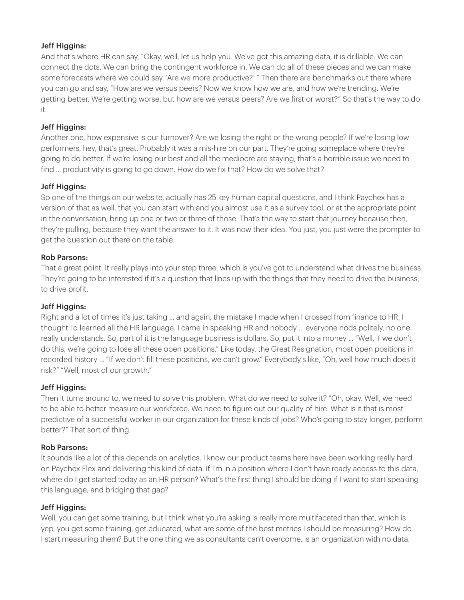#### Jeff Higgins:

And that's where HR can say, "Okay, well, let us help you. We've got this amazing data, it is drillable. We can connect the dots. We can bring the contingent workforce in. We can do all of these pieces and we can make some forecasts where we could say, 'Are we more productive?' " Then there are benchmarks out there where you can go and say, "How are we versus peers? Now we know how we are, and how we're trending. We're getting better. We're getting worse, but how are we versus peers? Are we first or worst?" So that's the way to do it.

#### Jeff Higgins:

Another one, how expensive is our turnover? Are we losing the right or the wrong people? If we're losing low performers, hey, that's great. Probably it was a mis-hire on our part. They're going someplace where they're going to do better. If we're losing our best and all the mediocre are staying, that's a horrible issue we need to find ... productivity is going to go down. How do we fix that? How do we solve that?

#### Jeff Higgins:

So one of the things on our website, actually has 25 key human capital questions, and I think Paychex has a version of that as well, that you can start with and you almost use it as a survey tool, or at the appropriate point in the conversation, bring up one or two or three of those. That's the way to start that journey because then, they're pulling, because they want the answer to it. It was now their idea. You just, you just were the prompter to get the question out there on the table.

#### Rob Parsons:

That a great point. It really plays into your step three, which is you've got to understand what drives the business. They're going to be interested if it's a question that lines up with the things that they need to drive the business, to drive profit.

#### Jeff Higgins:

Right and a lot of times it's just taking ... and again, the mistake I made when I crossed from finance to HR, I thought I'd learned all the HR language. I came in speaking HR and nobody ... everyone nods politely, no one really understands. So, part of it is the language business is dollars. So, put it into a money ... "Well, if we don't do this, we're going to lose all these open positions." Like today, the Great Resignation, most open positions in recorded history ... "If we don't fill these positions, we can't grow." Everybody's like, "Oh, well how much does it risk?" "Well, most of our growth."

#### Jeff Higgins:

Then it turns around to, we need to solve this problem. What do we need to solve it? "Oh, okay. Well, we need to be able to better measure our workforce. We need to figure out our quality of hire. What is it that is most predictive of a successful worker in our organization for these kinds of jobs? Who's going to stay longer, perform better?" That sort of thing.

#### Rob Parsons:

It sounds like a lot of this depends on analytics. I know our product teams here have been working really hard on Paychex Flex and delivering this kind of data. If I'm in a position where I don't have ready access to this data, where do I get started today as an HR person? What's the first thing I should be doing if I want to start speaking this language, and bridging that gap?

#### Jeff Higgins:

Well, you can get some training, but I think what you're asking is really more multifaceted than that, which is yep, you get some training, get educated, what are some of the best metrics I should be measuring? How do I start measuring them? But the one thing we as consultants can't overcome, is an organization with no data.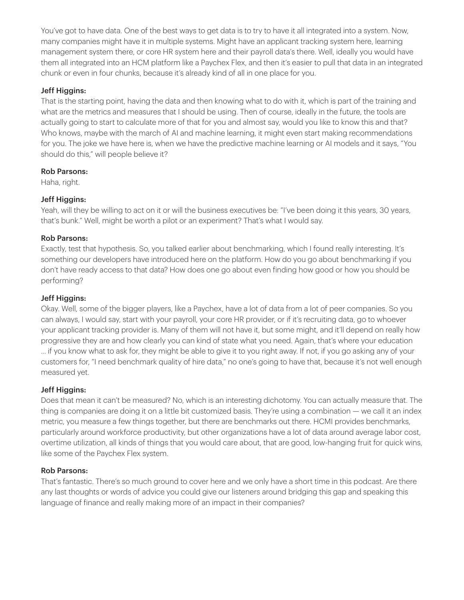You've got to have data. One of the best ways to get data is to try to have it all integrated into a system. Now, many companies might have it in multiple systems. Might have an applicant tracking system here, learning management system there, or core HR system here and their payroll data's there. Well, ideally you would have them all integrated into an HCM platform like a Paychex Flex, and then it's easier to pull that data in an integrated chunk or even in four chunks, because it's already kind of all in one place for you.

#### Jeff Higgins:

That is the starting point, having the data and then knowing what to do with it, which is part of the training and what are the metrics and measures that I should be using. Then of course, ideally in the future, the tools are actually going to start to calculate more of that for you and almost say, would you like to know this and that? Who knows, maybe with the march of AI and machine learning, it might even start making recommendations for you. The joke we have here is, when we have the predictive machine learning or AI models and it says, "You should do this," will people believe it?

#### Rob Parsons:

Haha, right.

#### Jeff Higgins:

Yeah, will they be willing to act on it or will the business executives be: "I've been doing it this years, 30 years, that's bunk." Well, might be worth a pilot or an experiment? That's what I would say.

#### Rob Parsons:

Exactly, test that hypothesis. So, you talked earlier about benchmarking, which I found really interesting. It's something our developers have introduced here on the platform. How do you go about benchmarking if you don't have ready access to that data? How does one go about even finding how good or how you should be performing?

#### Jeff Higgins:

Okay. Well, some of the bigger players, like a Paychex, have a lot of data from a lot of peer companies. So you can always, I would say, start with your payroll, your core HR provider, or if it's recruiting data, go to whoever your applicant tracking provider is. Many of them will not have it, but some might, and it'll depend on really how progressive they are and how clearly you can kind of state what you need. Again, that's where your education ... if you know what to ask for, they might be able to give it to you right away. If not, if you go asking any of your customers for, "I need benchmark quality of hire data," no one's going to have that, because it's not well enough measured yet.

#### Jeff Higgins:

Does that mean it can't be measured? No, which is an interesting dichotomy. You can actually measure that. The thing is companies are doing it on a little bit customized basis. They're using a combination — we call it an index metric, you measure a few things together, but there are benchmarks out there. HCMI provides benchmarks, particularly around workforce productivity, but other organizations have a lot of data around average labor cost, overtime utilization, all kinds of things that you would care about, that are good, low-hanging fruit for quick wins, like some of the Paychex Flex system.

#### Rob Parsons:

That's fantastic. There's so much ground to cover here and we only have a short time in this podcast. Are there any last thoughts or words of advice you could give our listeners around bridging this gap and speaking this language of finance and really making more of an impact in their companies?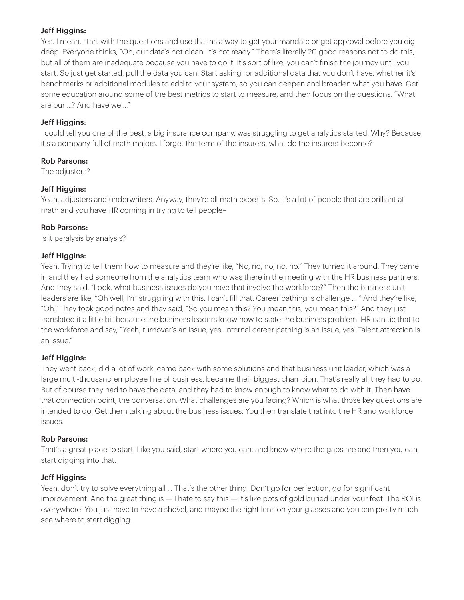#### Jeff Higgins:

Yes. I mean, start with the questions and use that as a way to get your mandate or get approval before you dig deep. Everyone thinks, "Oh, our data's not clean. It's not ready." There's literally 20 good reasons not to do this, but all of them are inadequate because you have to do it. It's sort of like, you can't finish the journey until you start. So just get started, pull the data you can. Start asking for additional data that you don't have, whether it's benchmarks or additional modules to add to your system, so you can deepen and broaden what you have. Get some education around some of the best metrics to start to measure, and then focus on the questions. "What are our ...? And have we ..."

#### Jeff Higgins:

I could tell you one of the best, a big insurance company, was struggling to get analytics started. Why? Because it's a company full of math majors. I forget the term of the insurers, what do the insurers become?

#### Rob Parsons:

The adjusters?

#### Jeff Higgins:

Yeah, adjusters and underwriters. Anyway, they're all math experts. So, it's a lot of people that are brilliant at math and you have HR coming in trying to tell people–

#### Rob Parsons:

Is it paralysis by analysis?

#### Jeff Higgins:

Yeah. Trying to tell them how to measure and they're like, "No, no, no, no, no." They turned it around. They came in and they had someone from the analytics team who was there in the meeting with the HR business partners. And they said, "Look, what business issues do you have that involve the workforce?" Then the business unit leaders are like, "Oh well, I'm struggling with this. I can't fill that. Career pathing is challenge ... " And they're like, "Oh." They took good notes and they said, "So you mean this? You mean this, you mean this?" And they just translated it a little bit because the business leaders know how to state the business problem. HR can tie that to the workforce and say, "Yeah, turnover's an issue, yes. Internal career pathing is an issue, yes. Talent attraction is an issue."

#### Jeff Higgins:

They went back, did a lot of work, came back with some solutions and that business unit leader, which was a large multi-thousand employee line of business, became their biggest champion. That's really all they had to do. But of course they had to have the data, and they had to know enough to know what to do with it. Then have that connection point, the conversation. What challenges are you facing? Which is what those key questions are intended to do. Get them talking about the business issues. You then translate that into the HR and workforce issues.

#### Rob Parsons:

That's a great place to start. Like you said, start where you can, and know where the gaps are and then you can start digging into that.

#### Jeff Higgins:

Yeah, don't try to solve everything all ... That's the other thing. Don't go for perfection, go for significant improvement. And the great thing is — I hate to say this — it's like pots of gold buried under your feet. The ROI is everywhere. You just have to have a shovel, and maybe the right lens on your glasses and you can pretty much see where to start digging.